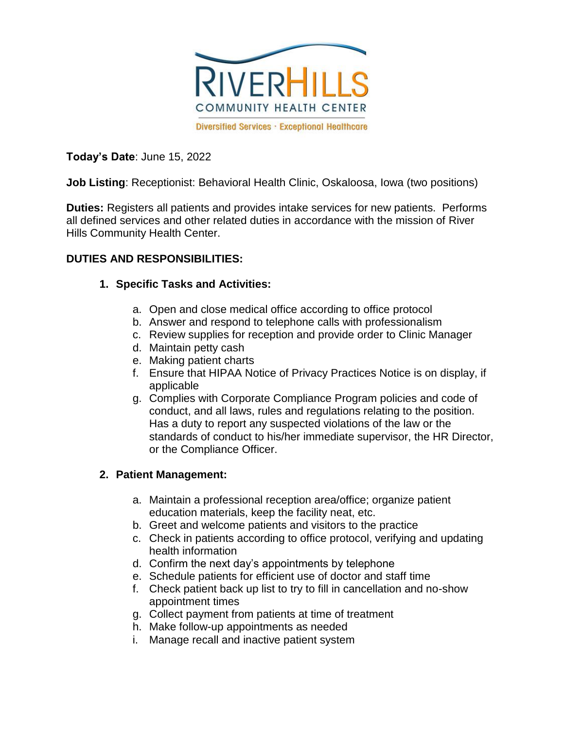

**Today's Date**: June 15, 2022

**Job Listing**: Receptionist: Behavioral Health Clinic, Oskaloosa, Iowa (two positions)

**Duties:** Registers all patients and provides intake services for new patients. Performs all defined services and other related duties in accordance with the mission of River Hills Community Health Center.

## **DUTIES AND RESPONSIBILITIES:**

## **1. Specific Tasks and Activities:**

- a. Open and close medical office according to office protocol
- b. Answer and respond to telephone calls with professionalism
- c. Review supplies for reception and provide order to Clinic Manager
- d. Maintain petty cash
- e. Making patient charts
- f. Ensure that HIPAA Notice of Privacy Practices Notice is on display, if applicable
- g. Complies with Corporate Compliance Program policies and code of conduct, and all laws, rules and regulations relating to the position. Has a duty to report any suspected violations of the law or the standards of conduct to his/her immediate supervisor, the HR Director, or the Compliance Officer.

# **2. Patient Management:**

- a. Maintain a professional reception area/office; organize patient education materials, keep the facility neat, etc.
- b. Greet and welcome patients and visitors to the practice
- c. Check in patients according to office protocol, verifying and updating health information
- d. Confirm the next day's appointments by telephone
- e. Schedule patients for efficient use of doctor and staff time
- f. Check patient back up list to try to fill in cancellation and no-show appointment times
- g. Collect payment from patients at time of treatment
- h. Make follow-up appointments as needed
- i. Manage recall and inactive patient system